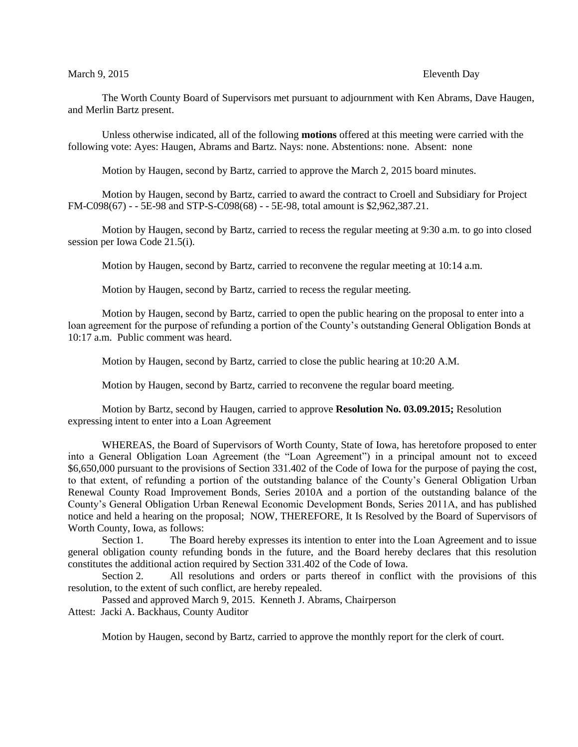## March 9, 2015 **Eleventh** Day

The Worth County Board of Supervisors met pursuant to adjournment with Ken Abrams, Dave Haugen, and Merlin Bartz present.

Unless otherwise indicated, all of the following **motions** offered at this meeting were carried with the following vote: Ayes: Haugen, Abrams and Bartz. Nays: none. Abstentions: none. Absent: none

Motion by Haugen, second by Bartz, carried to approve the March 2, 2015 board minutes.

Motion by Haugen, second by Bartz, carried to award the contract to Croell and Subsidiary for Project FM-C098(67) - - 5E-98 and STP-S-C098(68) - - 5E-98, total amount is \$2,962,387.21.

Motion by Haugen, second by Bartz, carried to recess the regular meeting at 9:30 a.m. to go into closed session per Iowa Code 21.5(i).

Motion by Haugen, second by Bartz, carried to reconvene the regular meeting at 10:14 a.m.

Motion by Haugen, second by Bartz, carried to recess the regular meeting.

Motion by Haugen, second by Bartz, carried to open the public hearing on the proposal to enter into a loan agreement for the purpose of refunding a portion of the County's outstanding General Obligation Bonds at 10:17 a.m. Public comment was heard.

Motion by Haugen, second by Bartz, carried to close the public hearing at 10:20 A.M.

Motion by Haugen, second by Bartz, carried to reconvene the regular board meeting.

Motion by Bartz, second by Haugen, carried to approve **Resolution No. 03.09.2015;** Resolution expressing intent to enter into a Loan Agreement

WHEREAS, the Board of Supervisors of Worth County, State of Iowa, has heretofore proposed to enter into a General Obligation Loan Agreement (the "Loan Agreement") in a principal amount not to exceed \$6,650,000 pursuant to the provisions of Section 331.402 of the Code of Iowa for the purpose of paying the cost, to that extent, of refunding a portion of the outstanding balance of the County's General Obligation Urban Renewal County Road Improvement Bonds, Series 2010A and a portion of the outstanding balance of the County's General Obligation Urban Renewal Economic Development Bonds, Series 2011A, and has published notice and held a hearing on the proposal; NOW, THEREFORE, It Is Resolved by the Board of Supervisors of Worth County, Iowa, as follows:

Section 1. The Board hereby expresses its intention to enter into the Loan Agreement and to issue general obligation county refunding bonds in the future, and the Board hereby declares that this resolution constitutes the additional action required by Section 331.402 of the Code of Iowa.

Section 2. All resolutions and orders or parts thereof in conflict with the provisions of this resolution, to the extent of such conflict, are hereby repealed.

Passed and approved March 9, 2015. Kenneth J. Abrams, Chairperson

Attest: Jacki A. Backhaus, County Auditor

Motion by Haugen, second by Bartz, carried to approve the monthly report for the clerk of court.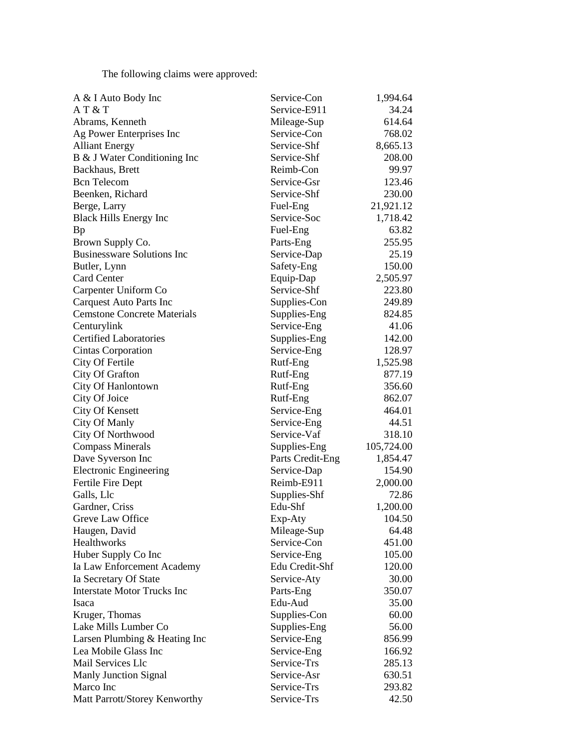The following claims were approved:

| A & I Auto Body Inc                | Service-Con      | 1,994.64   |
|------------------------------------|------------------|------------|
| AT&T                               | Service-E911     | 34.24      |
| Abrams, Kenneth                    | Mileage-Sup      | 614.64     |
| Ag Power Enterprises Inc           | Service-Con      | 768.02     |
| <b>Alliant Energy</b>              | Service-Shf      | 8,665.13   |
| B & J Water Conditioning Inc       | Service-Shf      | 208.00     |
| Backhaus, Brett                    | Reimb-Con        | 99.97      |
| <b>Bcn</b> Telecom                 | Service-Gsr      | 123.46     |
| Beenken, Richard                   | Service-Shf      | 230.00     |
| Berge, Larry                       | Fuel-Eng         | 21,921.12  |
| <b>Black Hills Energy Inc</b>      | Service-Soc      | 1,718.42   |
| Bp                                 | Fuel-Eng         | 63.82      |
| Brown Supply Co.                   | Parts-Eng        | 255.95     |
| <b>Businessware Solutions Inc</b>  | Service-Dap      | 25.19      |
| Butler, Lynn                       | Safety-Eng       | 150.00     |
| <b>Card Center</b>                 | Equip-Dap        | 2,505.97   |
| Carpenter Uniform Co               | Service-Shf      | 223.80     |
| <b>Carquest Auto Parts Inc</b>     | Supplies-Con     | 249.89     |
| <b>Cemstone Concrete Materials</b> |                  | 824.85     |
|                                    | Supplies-Eng     | 41.06      |
| Centurylink                        | Service-Eng      |            |
| <b>Certified Laboratories</b>      | Supplies-Eng     | 142.00     |
| Cintas Corporation                 | Service-Eng      | 128.97     |
| City Of Fertile                    | Rutf-Eng         | 1,525.98   |
| City Of Grafton                    | Rutf-Eng         | 877.19     |
| City Of Hanlontown                 | Rutf-Eng         | 356.60     |
| City Of Joice                      | Rutf-Eng         | 862.07     |
| <b>City Of Kensett</b>             | Service-Eng      | 464.01     |
| <b>City Of Manly</b>               | Service-Eng      | 44.51      |
| City Of Northwood                  | Service-Vaf      | 318.10     |
| <b>Compass Minerals</b>            | Supplies-Eng     | 105,724.00 |
| Dave Syverson Inc                  | Parts Credit-Eng | 1,854.47   |
| <b>Electronic Engineering</b>      | Service-Dap      | 154.90     |
| Fertile Fire Dept                  | Reimb-E911       | 2,000.00   |
| Galls, Llc                         | Supplies-Shf     | 72.86      |
| Gardner, Criss                     | Edu-Shf          | 1,200.00   |
| Greve Law Office                   | Exp-Aty          | 104.50     |
| Haugen, David                      | Mileage-Sup      | 64.48      |
| Healthworks                        | Service-Con      | 451.00     |
| Huber Supply Co Inc                | Service-Eng      | 105.00     |
| Ia Law Enforcement Academy         | Edu Credit-Shf   | 120.00     |
| Ia Secretary Of State              | Service-Aty      | 30.00      |
| <b>Interstate Motor Trucks Inc</b> | Parts-Eng        | 350.07     |
| Isaca                              | Edu-Aud          | 35.00      |
| Kruger, Thomas                     | Supplies-Con     | 60.00      |
| Lake Mills Lumber Co               | Supplies-Eng     | 56.00      |
| Larsen Plumbing & Heating Inc      | Service-Eng      | 856.99     |
| Lea Mobile Glass Inc               | Service-Eng      | 166.92     |
| Mail Services Llc                  | Service-Trs      | 285.13     |
| <b>Manly Junction Signal</b>       | Service-Asr      | 630.51     |
| Marco Inc                          | Service-Trs      | 293.82     |
| Matt Parrott/Storey Kenworthy      | Service-Trs      | 42.50      |
|                                    |                  |            |